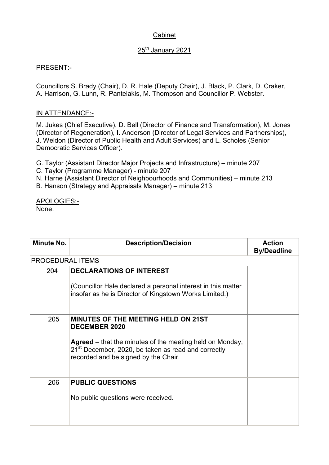## Cabinet

## 25<sup>th</sup> January 2021

## PRESENT:-

Councillors S. Brady (Chair), D. R. Hale (Deputy Chair), J. Black, P. Clark, D. Craker, A. Harrison, G. Lunn, R. Pantelakis, M. Thompson and Councillor P. Webster.

## IN ATTENDANCE:-

M. Jukes (Chief Executive), D. Bell (Director of Finance and Transformation), M. Jones (Director of Regeneration), I. Anderson (Director of Legal Services and Partnerships), J. Weldon (Director of Public Health and Adult Services) and L. Scholes (Senior Democratic Services Officer).

- G. Taylor (Assistant Director Major Projects and Infrastructure) minute 207
- C. Taylor (Programme Manager) minute 207

N. Harne (Assistant Director of Neighbourhoods and Communities) – minute 213

B. Hanson (Strategy and Appraisals Manager) – minute 213

APOLOGIES:- None.

| Minute No.       | <b>Description/Decision</b>                                                                                                                                                                                                                      | <b>Action</b><br><b>By/Deadline</b> |
|------------------|--------------------------------------------------------------------------------------------------------------------------------------------------------------------------------------------------------------------------------------------------|-------------------------------------|
| PROCEDURAL ITEMS |                                                                                                                                                                                                                                                  |                                     |
| 204              | <b>DECLARATIONS OF INTEREST</b><br>(Councillor Hale declared a personal interest in this matter<br>insofar as he is Director of Kingstown Works Limited.)                                                                                        |                                     |
| 205              | <b>MINUTES OF THE MEETING HELD ON 21ST</b><br><b>DECEMBER 2020</b><br><b>Agreed</b> – that the minutes of the meeting held on Monday,<br>21 <sup>st</sup> December, 2020, be taken as read and correctly<br>recorded and be signed by the Chair. |                                     |
| 206              | <b>PUBLIC QUESTIONS</b><br>No public questions were received.                                                                                                                                                                                    |                                     |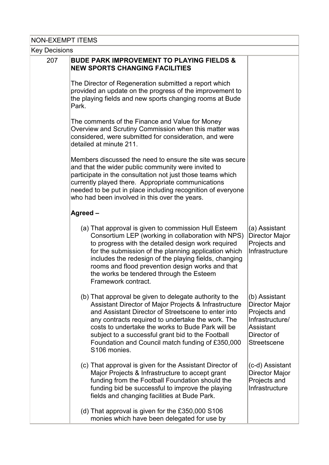| <b>NON-EXEMPT ITEMS</b> |                                                                                                                                                                                                                                                                                                                                                                                                            |                                                                                                                      |  |
|-------------------------|------------------------------------------------------------------------------------------------------------------------------------------------------------------------------------------------------------------------------------------------------------------------------------------------------------------------------------------------------------------------------------------------------------|----------------------------------------------------------------------------------------------------------------------|--|
| <b>Key Decisions</b>    |                                                                                                                                                                                                                                                                                                                                                                                                            |                                                                                                                      |  |
| 207                     | <b>BUDE PARK IMPROVEMENT TO PLAYING FIELDS &amp;</b><br><b>NEW SPORTS CHANGING FACILITIES</b>                                                                                                                                                                                                                                                                                                              |                                                                                                                      |  |
|                         | The Director of Regeneration submitted a report which<br>provided an update on the progress of the improvement to<br>the playing fields and new sports changing rooms at Bude<br>Park.                                                                                                                                                                                                                     |                                                                                                                      |  |
|                         | The comments of the Finance and Value for Money<br>Overview and Scrutiny Commission when this matter was<br>considered, were submitted for consideration, and were<br>detailed at minute 211.                                                                                                                                                                                                              |                                                                                                                      |  |
|                         | Members discussed the need to ensure the site was secure<br>and that the wider public community were invited to<br>participate in the consultation not just those teams which<br>currently played there. Appropriate communications<br>needed to be put in place including recognition of everyone<br>who had been involved in this over the years.                                                        |                                                                                                                      |  |
|                         | Agreed-                                                                                                                                                                                                                                                                                                                                                                                                    |                                                                                                                      |  |
|                         | (a) That approval is given to commission Hull Esteem<br>Consortium LEP (working in collaboration with NPS)<br>to progress with the detailed design work required<br>for the submission of the planning application which<br>includes the redesign of the playing fields, changing<br>rooms and flood prevention design works and that<br>the works be tendered through the Esteem<br>Framework contract.   | (a) Assistant<br>Director Major<br>Projects and<br>Infrastructure                                                    |  |
|                         | (b) That approval be given to delegate authority to the<br>Assistant Director of Major Projects & Infrastructure<br>and Assistant Director of Streetscene to enter into<br>any contracts required to undertake the work. The<br>costs to undertake the works to Bude Park will be<br>subject to a successful grant bid to the Football<br>Foundation and Council match funding of £350,000<br>S106 monies. | (b) Assistant<br>Director Major<br>Projects and<br>Infrastructure/<br>Assistant<br>Director of<br><b>Streetscene</b> |  |
|                         | (c) That approval is given for the Assistant Director of<br>Major Projects & Infrastructure to accept grant<br>funding from the Football Foundation should the<br>funding bid be successful to improve the playing<br>fields and changing facilities at Bude Park.                                                                                                                                         | (c-d) Assistant<br>Director Major<br>Projects and<br>Infrastructure                                                  |  |
|                         | (d) That approval is given for the £350,000 S106<br>monies which have been delegated for use by                                                                                                                                                                                                                                                                                                            |                                                                                                                      |  |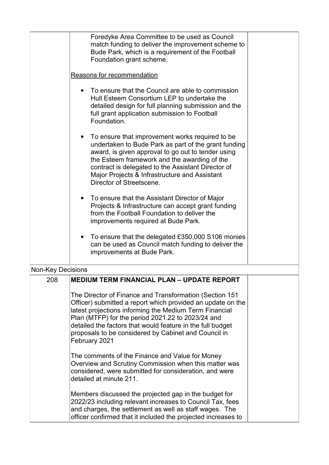|                            | Foredyke Area Committee to be used as Council<br>match funding to deliver the improvement scheme to<br>Bude Park, which is a requirement of the Football<br>Foundation grant scheme.                                                                                                                                                                                         |  |
|----------------------------|------------------------------------------------------------------------------------------------------------------------------------------------------------------------------------------------------------------------------------------------------------------------------------------------------------------------------------------------------------------------------|--|
| Reasons for recommendation |                                                                                                                                                                                                                                                                                                                                                                              |  |
|                            | To ensure that the Council are able to commission<br>Hull Esteem Consortium LEP to undertake the<br>detailed design for full planning submission and the<br>full grant application submission to Football<br>Foundation.                                                                                                                                                     |  |
|                            | To ensure that improvement works required to be<br>undertaken to Bude Park as part of the grant funding<br>award, is given approval to go out to tender using<br>the Esteem framework and the awarding of the<br>contract is delegated to the Assistant Director of<br>Major Projects & Infrastructure and Assistant<br>Director of Streetscene.                             |  |
|                            | To ensure that the Assistant Director of Major<br>Projects & Infrastructure can accept grant funding<br>from the Football Foundation to deliver the<br>improvements required at Bude Park.                                                                                                                                                                                   |  |
|                            | To ensure that the delegated £350,000 S106 monies<br>can be used as Council match funding to deliver the<br>improvements at Bude Park.                                                                                                                                                                                                                                       |  |
| <b>Non-Key Decisions</b>   |                                                                                                                                                                                                                                                                                                                                                                              |  |
| 208                        | MEDIUM TERM FINANCIAL PLAN – UPDATE REPORT                                                                                                                                                                                                                                                                                                                                   |  |
|                            | The Director of Finance and Transformation (Section 151<br>Officer) submitted a report which provided an update on the<br>latest projections informing the Medium Term Financial<br>Plan (MTFP) for the period 2021.22 to 2023/24 and<br>detailed the factors that would feature in the full budget<br>proposals to be considered by Cabinet and Council in<br>February 2021 |  |
|                            | The comments of the Finance and Value for Money<br>Overview and Scrutiny Commission when this matter was<br>considered, were submitted for consideration, and were<br>detailed at minute 211.                                                                                                                                                                                |  |
|                            | Members discussed the projected gap in the budget for<br>2022/23 including relevant increases to Council Tax, fees<br>and charges, the settlement as well as staff wages. The<br>officer confirmed that it included the projected increases to                                                                                                                               |  |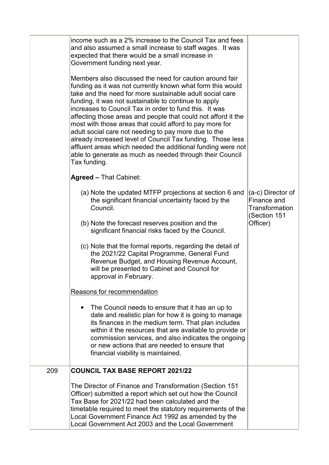|     | income such as a 2% increase to the Council Tax and fees<br>and also assumed a small increase to staff wages. It was<br>expected that there would be a small increase in<br>Government funding next year.                                                                                                                                                                                                                                                                                                                                                                                                                                                                                        |                                                                    |
|-----|--------------------------------------------------------------------------------------------------------------------------------------------------------------------------------------------------------------------------------------------------------------------------------------------------------------------------------------------------------------------------------------------------------------------------------------------------------------------------------------------------------------------------------------------------------------------------------------------------------------------------------------------------------------------------------------------------|--------------------------------------------------------------------|
|     | Members also discussed the need for caution around fair<br>funding as it was not currently known what form this would<br>take and the need for more sustainable adult social care<br>funding, it was not sustainable to continue to apply<br>increases to Council Tax in order to fund this. It was<br>affecting those areas and people that could not afford it the<br>most with those areas that could afford to pay more for<br>adult social care not needing to pay more due to the<br>already increased level of Council Tax funding. Those less<br>affluent areas which needed the additional funding were not<br>able to generate as much as needed through their Council<br>Tax funding. |                                                                    |
|     | <b>Agreed - That Cabinet:</b>                                                                                                                                                                                                                                                                                                                                                                                                                                                                                                                                                                                                                                                                    |                                                                    |
|     | (a) Note the updated MTFP projections at section 6 and<br>the significant financial uncertainty faced by the<br>Council.                                                                                                                                                                                                                                                                                                                                                                                                                                                                                                                                                                         | (a-c) Director of<br>Finance and<br>Transformation<br>(Section 151 |
|     | (b) Note the forecast reserves position and the<br>significant financial risks faced by the Council.                                                                                                                                                                                                                                                                                                                                                                                                                                                                                                                                                                                             | Officer)                                                           |
|     | (c) Note that the formal reports, regarding the detail of<br>the 2021/22 Capital Programme, General Fund<br>Revenue Budget, and Housing Revenue Account,<br>will be presented to Cabinet and Council for<br>approval in February.                                                                                                                                                                                                                                                                                                                                                                                                                                                                |                                                                    |
|     | Reasons for recommendation                                                                                                                                                                                                                                                                                                                                                                                                                                                                                                                                                                                                                                                                       |                                                                    |
|     | The Council needs to ensure that it has an up to<br>date and realistic plan for how it is going to manage<br>its finances in the medium term. That plan includes<br>within it the resources that are available to provide or<br>commission services, and also indicates the ongoing<br>or new actions that are needed to ensure that<br>financial viability is maintained.                                                                                                                                                                                                                                                                                                                       |                                                                    |
| 209 | <b>COUNCIL TAX BASE REPORT 2021/22</b>                                                                                                                                                                                                                                                                                                                                                                                                                                                                                                                                                                                                                                                           |                                                                    |
|     | The Director of Finance and Transformation (Section 151<br>Officer) submitted a report which set out how the Council<br>Tax Base for 2021/22 had been calculated and the<br>timetable required to meet the statutory requirements of the<br>Local Government Finance Act 1992 as amended by the<br>Local Government Act 2003 and the Local Government                                                                                                                                                                                                                                                                                                                                            |                                                                    |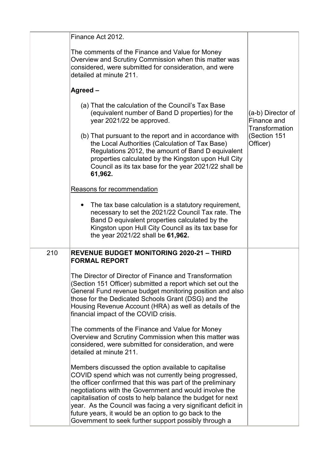|     | Finance Act 2012.                                                                                                                                                                                                                                                                                                                                                                                                                                                                        |                                                    |
|-----|------------------------------------------------------------------------------------------------------------------------------------------------------------------------------------------------------------------------------------------------------------------------------------------------------------------------------------------------------------------------------------------------------------------------------------------------------------------------------------------|----------------------------------------------------|
|     | The comments of the Finance and Value for Money<br>Overview and Scrutiny Commission when this matter was<br>considered, were submitted for consideration, and were<br>detailed at minute 211.                                                                                                                                                                                                                                                                                            |                                                    |
|     | Agreed -                                                                                                                                                                                                                                                                                                                                                                                                                                                                                 |                                                    |
|     | (a) That the calculation of the Council's Tax Base<br>(equivalent number of Band D properties) for the<br>year 2021/22 be approved.                                                                                                                                                                                                                                                                                                                                                      | (a-b) Director of<br>Finance and<br>Transformation |
|     | (b) That pursuant to the report and in accordance with<br>the Local Authorities (Calculation of Tax Base)<br>Regulations 2012, the amount of Band D equivalent<br>properties calculated by the Kingston upon Hull City<br>Council as its tax base for the year 2021/22 shall be<br>61,962.                                                                                                                                                                                               | (Section 151<br>Officer)                           |
|     | Reasons for recommendation                                                                                                                                                                                                                                                                                                                                                                                                                                                               |                                                    |
|     | The tax base calculation is a statutory requirement,<br>necessary to set the 2021/22 Council Tax rate. The<br>Band D equivalent properties calculated by the<br>Kingston upon Hull City Council as its tax base for<br>the year 2021/22 shall be 61,962.                                                                                                                                                                                                                                 |                                                    |
| 210 | <b>REVENUE BUDGET MONITORING 2020-21 - THIRD</b><br><b>FORMAL REPORT</b>                                                                                                                                                                                                                                                                                                                                                                                                                 |                                                    |
|     | The Director of Director of Finance and Transformation<br>(Section 151 Officer) submitted a report which set out the<br>General Fund revenue budget monitoring position and also<br>those for the Dedicated Schools Grant (DSG) and the<br>Housing Revenue Account (HRA) as well as details of the<br>financial impact of the COVID crisis.                                                                                                                                              |                                                    |
|     | The comments of the Finance and Value for Money<br>Overview and Scrutiny Commission when this matter was<br>considered, were submitted for consideration, and were<br>detailed at minute 211.                                                                                                                                                                                                                                                                                            |                                                    |
|     | Members discussed the option available to capitalise<br>COVID spend which was not currently being progressed,<br>the officer confirmed that this was part of the preliminary<br>negotiations with the Government and would involve the<br>capitalisation of costs to help balance the budget for next<br>year. As the Council was facing a very significant deficit in<br>future years, it would be an option to go back to the<br>Government to seek further support possibly through a |                                                    |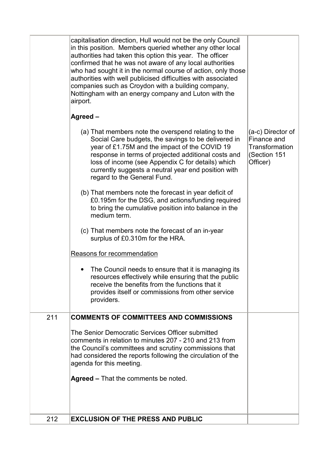| 212 | <b>EXCLUSION OF THE PRESS AND PUBLIC</b>                                                                                                                                                                                                                                                                                                                                                                                                                                                                     |                                                                                       |
|-----|--------------------------------------------------------------------------------------------------------------------------------------------------------------------------------------------------------------------------------------------------------------------------------------------------------------------------------------------------------------------------------------------------------------------------------------------------------------------------------------------------------------|---------------------------------------------------------------------------------------|
|     | The Senior Democratic Services Officer submitted<br>comments in relation to minutes 207 - 210 and 213 from<br>the Council's committees and scrutiny commissions that<br>had considered the reports following the circulation of the<br>agenda for this meeting.<br><b>Agreed – That the comments be noted.</b>                                                                                                                                                                                               |                                                                                       |
| 211 | The Council needs to ensure that it is managing its<br>resources effectively while ensuring that the public<br>receive the benefits from the functions that it<br>provides itself or commissions from other service<br>providers.<br><b>COMMENTS OF COMMITTEES AND COMMISSIONS</b>                                                                                                                                                                                                                           |                                                                                       |
|     | Reasons for recommendation                                                                                                                                                                                                                                                                                                                                                                                                                                                                                   |                                                                                       |
|     | (c) That members note the forecast of an in-year<br>surplus of £0.310m for the HRA.                                                                                                                                                                                                                                                                                                                                                                                                                          |                                                                                       |
|     | (b) That members note the forecast in year deficit of<br>£0.195m for the DSG, and actions/funding required<br>to bring the cumulative position into balance in the<br>medium term.                                                                                                                                                                                                                                                                                                                           |                                                                                       |
|     | (a) That members note the overspend relating to the<br>Social Care budgets, the savings to be delivered in<br>year of £1.75M and the impact of the COVID 19<br>response in terms of projected additional costs and<br>loss of income (see Appendix C for details) which<br>currently suggests a neutral year end position with<br>regard to the General Fund.                                                                                                                                                | (a-c) Director of<br>Finance and<br><b>Transformation</b><br>(Section 151<br>Officer) |
|     | Agreed-                                                                                                                                                                                                                                                                                                                                                                                                                                                                                                      |                                                                                       |
|     | capitalisation direction, Hull would not be the only Council<br>in this position. Members queried whether any other local<br>authorities had taken this option this year. The officer<br>confirmed that he was not aware of any local authorities<br>who had sought it in the normal course of action, only those<br>authorities with well publicised difficulties with associated<br>companies such as Croydon with a building company,<br>Nottingham with an energy company and Luton with the<br>airport. |                                                                                       |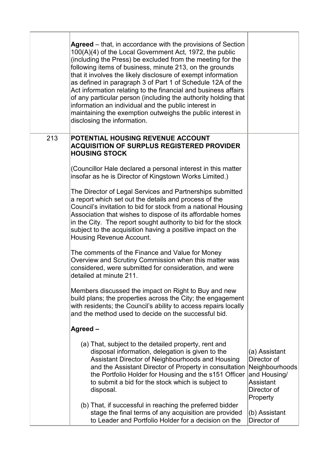|     | <b>Agreed</b> – that, in accordance with the provisions of Section<br>100(A)(4) of the Local Government Act, 1972, the public<br>(including the Press) be excluded from the meeting for the<br>following items of business, minute 213, on the grounds<br>that it involves the likely disclosure of exempt information<br>as defined in paragraph 3 of Part 1 of Schedule 12A of the<br>Act information relating to the financial and business affairs<br>of any particular person (including the authority holding that<br>information an individual and the public interest in<br>maintaining the exemption outweighs the public interest in<br>disclosing the information. |                                                                                                        |
|-----|-------------------------------------------------------------------------------------------------------------------------------------------------------------------------------------------------------------------------------------------------------------------------------------------------------------------------------------------------------------------------------------------------------------------------------------------------------------------------------------------------------------------------------------------------------------------------------------------------------------------------------------------------------------------------------|--------------------------------------------------------------------------------------------------------|
| 213 | <b>POTENTIAL HOUSING REVENUE ACCOUNT</b><br><b>ACQUISITION OF SURPLUS REGISTERED PROVIDER</b><br><b>HOUSING STOCK</b>                                                                                                                                                                                                                                                                                                                                                                                                                                                                                                                                                         |                                                                                                        |
|     | (Councillor Hale declared a personal interest in this matter<br>insofar as he is Director of Kingstown Works Limited.)                                                                                                                                                                                                                                                                                                                                                                                                                                                                                                                                                        |                                                                                                        |
|     | The Director of Legal Services and Partnerships submitted<br>a report which set out the details and process of the<br>Council's invitation to bid for stock from a national Housing<br>Association that wishes to dispose of its affordable homes<br>in the City. The report sought authority to bid for the stock<br>subject to the acquisition having a positive impact on the<br>Housing Revenue Account.                                                                                                                                                                                                                                                                  |                                                                                                        |
|     | The comments of the Finance and Value for Money<br>Overview and Scrutiny Commission when this matter was<br>considered, were submitted for consideration, and were<br>detailed at minute 211.                                                                                                                                                                                                                                                                                                                                                                                                                                                                                 |                                                                                                        |
|     | Members discussed the impact on Right to Buy and new<br>build plans; the properties across the City; the engagement<br>with residents; the Council's ability to access repairs locally<br>and the method used to decide on the successful bid.                                                                                                                                                                                                                                                                                                                                                                                                                                |                                                                                                        |
|     | Agreed-                                                                                                                                                                                                                                                                                                                                                                                                                                                                                                                                                                                                                                                                       |                                                                                                        |
|     | (a) That, subject to the detailed property, rent and<br>disposal information, delegation is given to the<br>Assistant Director of Neighbourhoods and Housing<br>and the Assistant Director of Property in consultation<br>the Portfolio Holder for Housing and the s151 Officer<br>to submit a bid for the stock which is subject to<br>disposal.                                                                                                                                                                                                                                                                                                                             | (a) Assistant<br>Director of<br>Neighbourhoods<br>and Housing/<br>Assistant<br>Director of<br>Property |
|     | (b) That, if successful in reaching the preferred bidder<br>stage the final terms of any acquisition are provided<br>to Leader and Portfolio Holder for a decision on the                                                                                                                                                                                                                                                                                                                                                                                                                                                                                                     | (b) Assistant<br>Director of                                                                           |